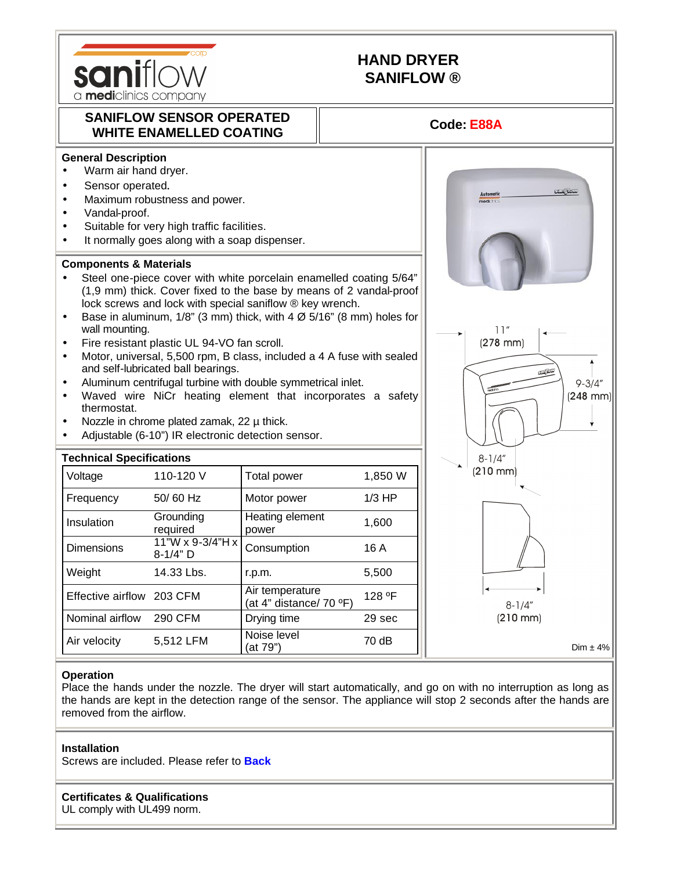

# **HAND DRYER SANIFLOW ®**

## **SANIFLOW SENSOR OPERATED**  WHITE ENAMELLED COATING **AND THE ENAMELLED COATING**



- Warm air hand dryer.
- Sensor operated.
- Maximum robustness and power.
- Vandal-proof.
- Suitable for very high traffic facilities.
- It normally goes along with a soap dispenser.

#### **Components & Materials**

- Steel one-piece cover with white porcelain enamelled coating 5/64" (1,9 mm) thick. Cover fixed to the base by means of 2 vandal-proof lock screws and lock with special saniflow ® key wrench.
- Base in aluminum,  $1/8$ " (3 mm) thick, with  $4 \varnothing 5/16$ " (8 mm) holes for wall mounting.
- Fire resistant plastic UL 94-VO fan scroll.
- Motor, universal, 5,500 rpm, B class, included a 4 A fuse with sealed and self-lubricated ball bearings.
- Aluminum centrifugal turbine with double symmetrical inlet.
- Waved wire NiCr heating element that incorporates a safety thermostat.
- Nozzle in chrome plated zamak,  $22 \mu$  thick.
- Adjustable (6-10") IR electronic detection sensor.

| <b>Technical Specifications</b> |                                |                                            |          | $8 - 1/4''$          |
|---------------------------------|--------------------------------|--------------------------------------------|----------|----------------------|
| Voltage                         | 110-120 V                      | Total power                                | 1,850 W  | $(210 \, \text{mm})$ |
| Frequency                       | 50/60 Hz                       | Motor power                                | $1/3$ HP |                      |
| Insulation                      | Grounding<br>required          | Heating element<br>power                   | 1,600    |                      |
| <b>Dimensions</b>               | 11"W x 9-3/4"H x<br>$8-1/4"$ D | Consumption                                | 16 A     |                      |
| Weight                          | 14.33 Lbs.                     | r.p.m.                                     | 5,500    |                      |
| Effective airflow               | 203 CFM                        | Air temperature<br>(at 4" distance/ 70 °F) | 128 °F   | $8 - 1/4"$           |
| Nominal airflow                 | 290 CFM                        | Drying time                                | 29 sec   | $(210 \, \text{mm})$ |
| Air velocity                    | 5,512 LFM                      | Noise level<br>(at 79")                    | 70 dB    | Dim $\pm$ 4%         |



#### **Operation**

Place the hands under the nozzle. The dryer will start automatically, and go on with no interruption as long as the hands are kept in the detection range of the sensor. The appliance will stop 2 seconds after the hands are removed from the airflow.

#### **Installation**

Screws are included. Please refer to **Back**

### **Certificates & Qualifications**

UL comply with UL499 norm.